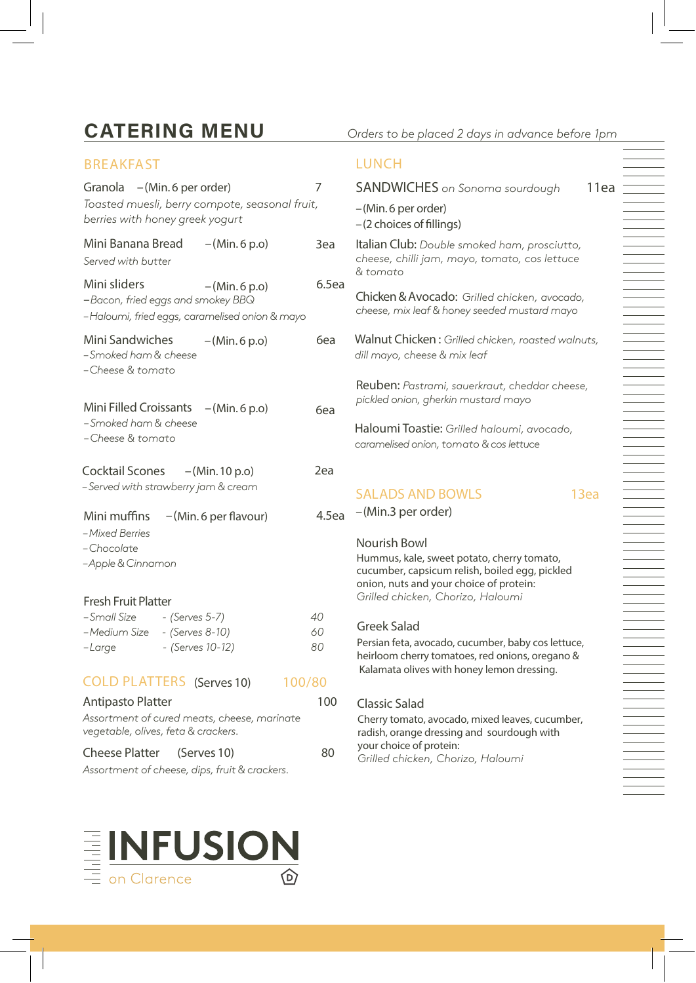# **CATERING MENU**

## **BREAKFAST Granola** –(Min. 6 per order) 7 *Toasted muesli, berry compote, seasonal fruit, berries with honey greek yogurt* **Mini Banana Bread** –(Min. 6 p.o) 3ea *Served with butter* **Minisliders** –(Min. 6 p.o) 6.5ea –*Bacon, fried eggs and smokey BBQ –Haloumi, fried eggs, caramelised onion & mayo* **Mini Sandwiches** –(Min. 6 p.o) 6ea *– Smoked ham & cheese –Cheese & tomato* Mini Filled Croissants – (Min. 6 p.o) 6ea **Cocktail Scones** –(Min. 10 p.o) 2ea *– Served with strawberry jam & cream* Mini muffins – (Min. 6 per flavour) 4.5ea *–Mixed Berries –Chocolate –Apple& Cinnamon* **Fresh Fruit Platter** *– Smoked ham & cheese –Cheese & tomato*

| – Small Size | - (Serves 5-7)   | 40 |
|--------------|------------------|----|
| -Medium Size | - (Serves 8-10)  | 60 |
| -Large       | - (Serves 10-12) | 80 |

**COLD PLATTERS (Serves 10)** 100/80

```
Antipasto Platter
                                         100
Assortment of cured meats, cheese, marinate 
vegetable, olives,feta & crackers. 
Cheese Platter (Serves 10) 80
```
*Assortment of cheese, dips, fruit & crackers.*



### **LUNCH**

| <b>SANDWICHES</b> on Sonoma sourdough | 11ea |
|---------------------------------------|------|
| – (Min. 6 per order)                  |      |
| $-(2$ choices of fillings)            |      |

**Italian Club:** *Double smoked ham, prosciutto, cheese, chilli jam, mayo, tomato, cos lettuce & tomato*

**Chicken&Avocado:** *Grilled chicken, avocado, cheese, mix leaf & honey seeded mustard mayo* 

**Walnut Chicken :** *Grilled chicken, roasted walnuts, dill mayo, cheese & mix leaf*

**Reuben:** *Pastrami, sauerkraut, cheddar cheese, pickled onion, gherkin mustard mayo* 

**Haloumi Toastie:** *Grilled haloumi, avocado, caramelised onion, tomato & cos lettuce*

## **SALADS AND BOWLS 13ea**

– (Min.3 per order)

#### **Nourish Bowl**

Hummus, kale, sweet potato, cherry tomato, cucumber, capsicum relish, boiled egg, pickled onion, nuts and your choice of protein: *Grilled chicken, Chorizo, Haloumi*

#### **Greek Salad**

Persian feta, avocado, cucumber, baby cos lettuce, heirloom cherry tomatoes, red onions, oregano & Kalamata olives with honey lemon dressing.

### **Classic Salad**

Cherry tomato, avocado, mixed leaves, cucumber, radish, orange dressing and sourdough with your choice of protein: *Grilled chicken, Chorizo, Haloumi*